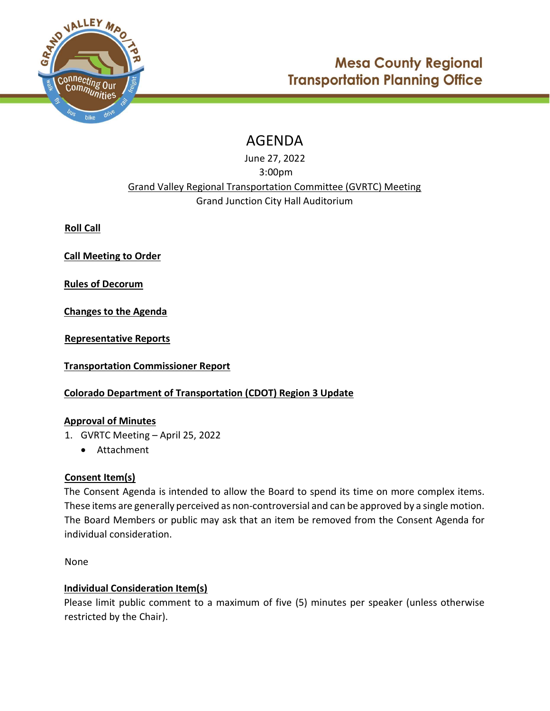

# AGENDA

June 27, 2022 3:00pm Grand Valley Regional Transportation Committee (GVRTC) Meeting Grand Junction City Hall Auditorium

Roll Call

Call Meeting to Order

Rules of Decorum

Changes to the Agenda

Representative Reports

Transportation Commissioner Report

## Colorado Department of Transportation (CDOT) Region 3 Update

## Approval of Minutes

- 1. GVRTC Meeting April 25, 2022
	- Attachment

## Consent Item(s)

The Consent Agenda is intended to allow the Board to spend its time on more complex items. These items are generally perceived as non-controversial and can be approved by a single motion. The Board Members or public may ask that an item be removed from the Consent Agenda for individual consideration.

None

## Individual Consideration Item(s)

Please limit public comment to a maximum of five (5) minutes per speaker (unless otherwise restricted by the Chair).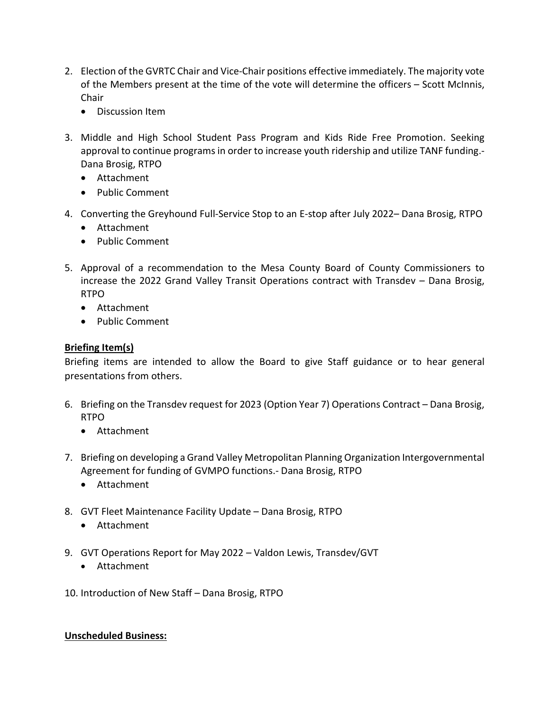- 2. Election of the GVRTC Chair and Vice-Chair positions effective immediately. The majority vote of the Members present at the time of the vote will determine the officers – Scott McInnis, **Chair** 
	- Discussion Item
- 3. Middle and High School Student Pass Program and Kids Ride Free Promotion. Seeking approval to continue programs in order to increase youth ridership and utilize TANF funding.- Dana Brosig, RTPO
	- Attachment
	- Public Comment
- 4. Converting the Greyhound Full-Service Stop to an E-stop after July 2022– Dana Brosig, RTPO
	- Attachment
	- Public Comment
- 5. Approval of a recommendation to the Mesa County Board of County Commissioners to increase the 2022 Grand Valley Transit Operations contract with Transdev – Dana Brosig, RTPO
	- Attachment
	- Public Comment

## Briefing Item(s)

Briefing items are intended to allow the Board to give Staff guidance or to hear general presentations from others.

- 6. Briefing on the Transdev request for 2023 (Option Year 7) Operations Contract Dana Brosig, RTPO
	- Attachment
- 7. Briefing on developing a Grand Valley Metropolitan Planning Organization Intergovernmental Agreement for funding of GVMPO functions.- Dana Brosig, RTPO
	- Attachment
- 8. GVT Fleet Maintenance Facility Update Dana Brosig, RTPO
	- Attachment
- 9. GVT Operations Report for May 2022 Valdon Lewis, Transdev/GVT
	- Attachment
- 10. Introduction of New Staff Dana Brosig, RTPO

#### Unscheduled Business: